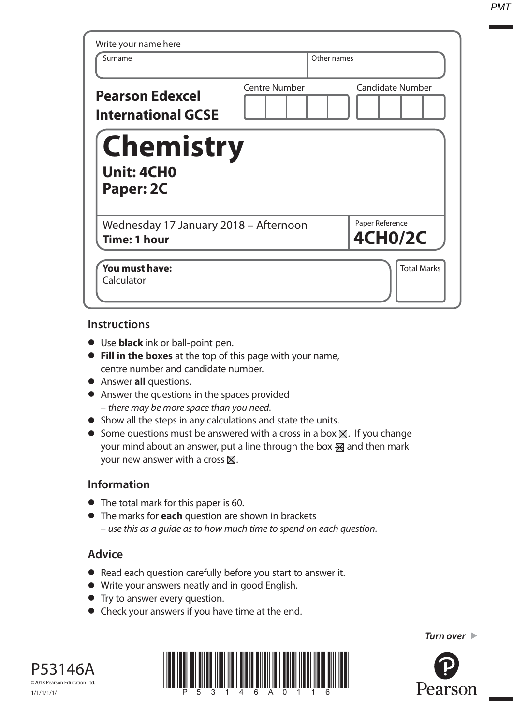| Write your name here<br>Surname                              |                      | Other names                       |
|--------------------------------------------------------------|----------------------|-----------------------------------|
| <b>Pearson Edexcel</b><br><b>International GCSE</b>          | <b>Centre Number</b> | <b>Candidate Number</b>           |
| <b>Chemistry</b><br><b>Unit: 4CH0</b><br>Paper: 2C           |                      |                                   |
| Wednesday 17 January 2018 - Afternoon<br><b>Time: 1 hour</b> |                      | Paper Reference<br><b>4CH0/2C</b> |
| You must have:<br>Calculator                                 |                      | <b>Total Marks</b>                |

## **Instructions**

- Use **black** ink or ball-point pen.
- **Fill in the boxes** at the top of this page with your name, centre number and candidate number.
- Answer **all** questions.
- Answer the questions in the spaces provided – there may be more space than you need.
- Show all the steps in any calculations and state the units.
- Some questions must be answered with a cross in a box  $\boxtimes$ . If you change your mind about an answer, put a line through the box  $\mathbb{R}$  and then mark your new answer with a cross  $\times$ .

## **Information**

- The total mark for this paper is 60.
- The marks for **each** question are shown in brackets – use this as a guide as to how much time to spend on each question.

## **Advice**

- Read each question carefully before you start to answer it.
- Read each question carefully before you start t<br>• Write your answers neatly and in good English. • Write your answers neatly and in good English.<br>• Try to answer every question.
- 
- Check your answers if you have time at the end.



*Turn over* 

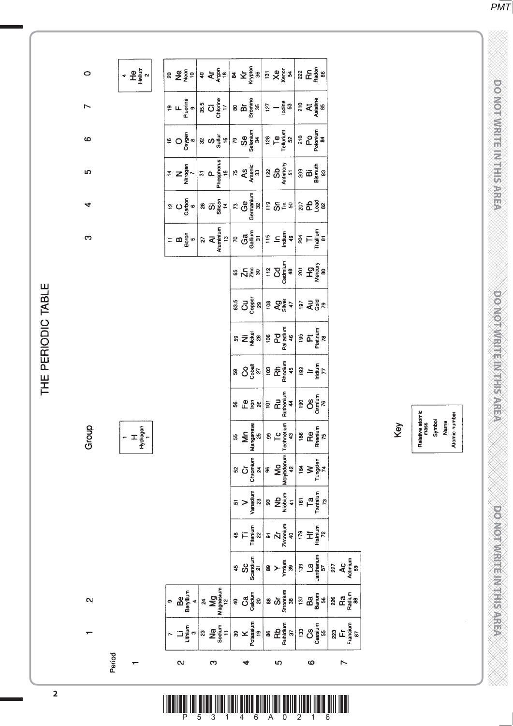**DO NOTWRITE IN THIS AREA** 

*PMT*

**TO NOT WRITE IN THE IN THIS AREA DO NOT WRITE IN THIS AREA DO NOT WRITE IN THIS AREA DO NOT WRITE IN THIS AREA DO NOT WRITE IN THE INTERNATIONAL CONTINUES. THE INTERNATIONAL CONTINUES IN THE INTERNATIONAL CONTINUES. DOOMOTIVE TENNER AREA** 

**DOOKOTAM EERINGSTER** 

| Relative atomic<br>mass | Symbol | Name | Atomic number |
|-------------------------|--------|------|---------------|

| Key | Relative atomic<br>mass | Symbol | Name |  |
|-----|-------------------------|--------|------|--|
|     |                         |        |      |  |

|                                                                                                                                                                                                                                                                                                                                                                                                                        |                              | $8 \frac{1}{2} \frac{1}{8} \frac{1}{8} \frac{1}{8} \frac{1}{8} \frac{1}{8} \frac{1}{8} \frac{1}{8} \frac{1}{8} \frac{1}{8} \frac{1}{8} \frac{1}{8} \frac{1}{8} \frac{1}{8} \frac{1}{8} \frac{1}{8} \frac{1}{8} \frac{1}{8} \frac{1}{8} \frac{1}{8} \frac{1}{8} \frac{1}{8} \frac{1}{8} \frac{1}{8} \frac{1}{8} \frac{1}{8} \frac{1}{8} \frac{1}{8} \frac{1}{8} \frac{1}{8} \frac{1}{8} \frac$ |                                     |
|------------------------------------------------------------------------------------------------------------------------------------------------------------------------------------------------------------------------------------------------------------------------------------------------------------------------------------------------------------------------------------------------------------------------|------------------------------|-----------------------------------------------------------------------------------------------------------------------------------------------------------------------------------------------------------------------------------------------------------------------------------------------------------------------------------------------------------------------------------------------|-------------------------------------|
|                                                                                                                                                                                                                                                                                                                                                                                                                        | 55<br>Mrn<br>Manganese<br>25 | $\begin{tabular}{c c} 99 \\ \hline \textbf{Te} & \textbf{Te} \\ \textbf{Te} & \textbf{He} \\ \textbf{He} & \textbf{He} \\ \textbf{He} & \textbf{He} \\ \textbf{He} & \textbf{He} \\ \end{tabular}$                                                                                                                                                                                            |                                     |
|                                                                                                                                                                                                                                                                                                                                                                                                                        |                              |                                                                                                                                                                                                                                                                                                                                                                                               |                                     |
|                                                                                                                                                                                                                                                                                                                                                                                                                        |                              |                                                                                                                                                                                                                                                                                                                                                                                               |                                     |
|                                                                                                                                                                                                                                                                                                                                                                                                                        |                              | $\left\  \begin{array}{c} \frac{48}{1100} \\ \frac{1}{200} \\ \frac{1}{200} \\ \frac{1}{200} \\ \frac{1}{200} \\ \frac{1}{200} \\ \frac{1}{200} \\ \frac{1}{200} \\ \frac{1}{200} \\ \frac{1}{200} \\ \frac{1}{200} \\ \frac{1}{200} \\ \frac{1}{200} \\ \frac{1}{200} \\ \frac{1}{200} \\ \frac{1}{200} \\ \frac{1}{200} \\ \frac{1}{200} \\ \frac{1}{200} \\ \frac{1}{200} \\ \frac{1}{20$  |                                     |
|                                                                                                                                                                                                                                                                                                                                                                                                                        |                              | 45<br>SCS SCS 21<br>89<br>$\frac{1}{2}$<br>89<br>$\frac{1}{2}$<br>139<br>139<br>130<br>140<br>157<br>57                                                                                                                                                                                                                                                                                       | $227$<br>AC<br>Actinium<br>Actinium |
| $\begin{array}{ c c c c c c c c } \hline \circ & \mathbf{G} & \mathbf{G} & \mathbf{G} & \mathbf{G} & \mathbf{G} & \mathbf{G} & \mathbf{G} & \mathbf{G} & \mathbf{G} & \mathbf{G} & \mathbf{G} & \mathbf{G} & \mathbf{G} & \mathbf{G} & \mathbf{G} & \mathbf{G} & \mathbf{G} & \mathbf{G} & \mathbf{G} & \mathbf{G} & \mathbf{G} & \mathbf{G} & \mathbf{G} & \mathbf{G} & \mathbf{G} & \mathbf{G} & \mathbf{G} & \math$ |                              |                                                                                                                                                                                                                                                                                                                                                                                               | $\frac{28}{126}$                    |

က

 $\sim$ 

S

 $\circ$ 

 $8 \frac{95}{2} = 9 \frac{1}{2} \left| 3 \frac{1}{2} \frac{1}{2} \frac{1}{2} \frac{1}{2} \frac{1}{2} \frac{1}{2} \frac{1}{2} \frac{1}{2} \frac{1}{2} \frac{1}{2} \frac{1}{2} \frac{1}{2} \frac{1}{2} \frac{1}{2} \frac{1}{2} \frac{1}{2} \frac{1}{2} \frac{1}{2} \frac{1}{2} \frac{1}{2} \frac{1}{2} \frac{1}{2} \frac{1}{2} \frac{1}{2} \frac{1}{2} \frac{1}{2} \frac{1}{2} \frac{1}{2}$ 

 $F = \frac{1}{2}$ <br>  $F = \frac{1}{2}$ <br>  $F = \frac{1}{2}$ <br>  $F = \frac{1}{2}$ <br>  $F = \frac{1}{2}$ <br>  $F = \frac{1}{2}$ <br>  $F = \frac{1}{2}$ <br>  $F = \frac{1}{2}$ <br>  $F = \frac{1}{2}$ <br>  $F = \frac{1}{2}$ <br>  $F = \frac{1}{2}$ <br>  $F = \frac{1}{2}$ <br>  $F = \frac{1}{2}$ <br>  $F = \frac{1}{2}$ <br>  $F = \frac{1}{2}$ <br>  $F = \frac{1}{2}$ <br>  $F = \frac{1}{2}$ <br>

 $\begin{tabular}{|c|c|c|c|c|} \hline & \multicolumn{1}{|c|}{3} & \multicolumn{1}{|c|}{5} & \multicolumn{1}{|c|}{5} & \multicolumn{1}{|c|}{5} & \multicolumn{1}{|c|}{5} & \multicolumn{1}{|c|}{5} & \multicolumn{1}{|c|}{5} & \multicolumn{1}{|c|}{5} & \multicolumn{1}{|c|}{5} & \multicolumn{1}{|c|}{5} & \multicolumn{1}{|c|}{5} & \multicolumn{1}{|c|}{5} & \multicolumn{1}{|c|}{5} & \multicolumn{1}{|c|}{5} & \mult$ 

 $\begin{array}{|l|l|l|l|}\hline \texttt{r} & \texttt{m0} & \texttt{m1} & \texttt{m2} \\ \hline \texttt{m0} & \texttt{m1} & \texttt{m2} & \texttt{m2} & \texttt{m3} \\ \hline \texttt{m2} & \texttt{m3} & \texttt{m4} & \texttt{m5} & \texttt{m5} \\ \hline \texttt{m3} & \texttt{m4} & \texttt{m5} & \texttt{m5} & \texttt{m6} \\ \hline \texttt{m4} & \texttt{m5} & \texttt{m5} & \texttt{m6} & \texttt{m7} &$ 

 $\begin{array}{c|c|c|c|c} \text{55} & \text{56} & \text{57} & \text{58} \\ \text{57} & \text{58} & \text{58} & \text{58} & \text{58} \\ \text{58} & \text{58} & \text{58} & \text{58} & \text{58} \\ \text{59} & \text{59} & \text{59} & \text{58} & \text{58} \\ \text{59} & \text{59} & \text{59} & \text{58} & \text{58} \\ \text{59} & \text{59} & \text{59} & \text{58} & \text{58} \\ \text$ 

59<br>
Nii<br>
Nickel<br>
28<br>
106<br>
Platform<br>
46<br>
19<br>
Platform<br>
Platform

 $\left| \begin{array}{ccc} 0 & 0 & 0 \\ 0 & 0 & 0 \\ 0 & 0 & 0 \end{array} \right|$  is  $\left| \begin{array}{c} 0 & 0 \\ 0 & 0 \\ 0 & 0 \end{array} \right|$  is  $\left| \begin{array}{c} 0 & 0 \\ 0 & 0 \\ 0 & 0 \end{array} \right|$ 

 $\frac{4}{10}$   $\frac{4}{10}$   $\frac{10}{10}$   $\frac{10}{10}$ 

 $\circ$ 

 $\overline{D}$ 

Ø

LΩ

 $\vec{v}$ 

ო

Group

 $\mathbf{\Omega}$ 

Period

 $T$   $\pm \frac{1}{2}$ 

THE PERIODIC TABLE

| ٠<br>۰. |  |  |
|---------|--|--|
|         |  |  |
|         |  |  |
|         |  |  |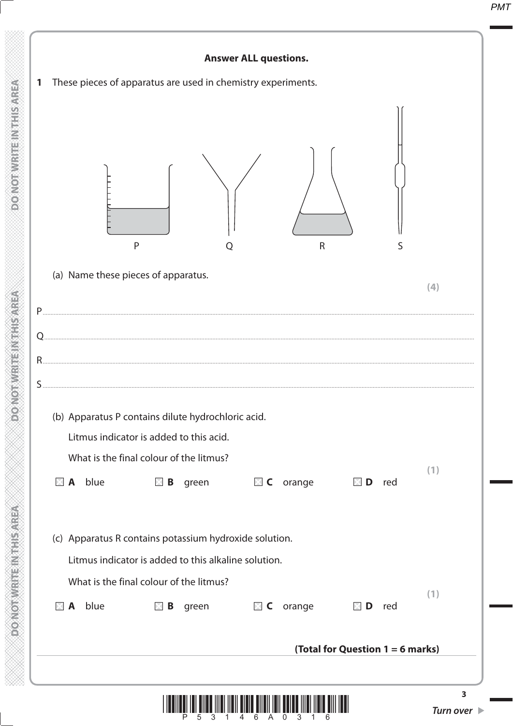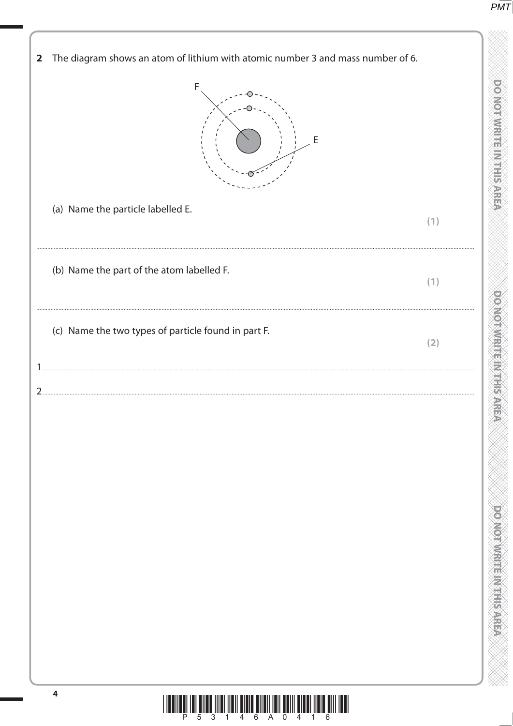$P\overline{MT}$ 

| The diagram shows an atom of lithium with atomic number 3 and mass number of 6.<br>F<br>Ε                        |     |
|------------------------------------------------------------------------------------------------------------------|-----|
| (a) Name the particle labelled E.                                                                                | (1) |
| (b) Name the part of the atom labelled F.                                                                        | (1) |
| (c) Name the two types of particle found in part F.                                                              | (2) |
|                                                                                                                  |     |
| $\overline{\mathbf{4}}$<br><u> I TERTIERI TET RITER TITRI TIRIT RIBIR RITETI TETI RETI RIBET TIRIR RITI TERT</u> |     |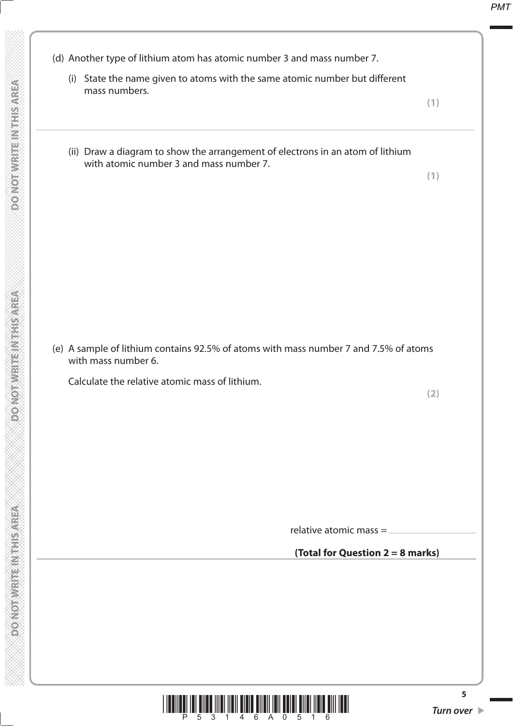(d) Another type of lithium atom has atomic number 3 and mass number 7. (i) State the name given to atoms with the same atomic number but different mass numbers. **(1)** .................................................................................................................................................................................................................................................................................... (ii) Draw a diagram to show the arrangement of electrons in an atom of lithium with atomic number 3 and mass number 7. **(1)** (e) A sample of lithium contains 92.5% of atoms with mass number 7 and 7.5% of atoms with mass number 6. Calculate the relative atomic mass of lithium. **(2)** relative atomic mass = ....................................................... **(Total for Question 2 = 8 marks)**

 $\begin{array}{c} \begin{array}{c} \rule{0pt}{14pt}\\ \rule{0pt}{14pt}\\ \rule{0pt}{14pt}\\ \rule{0pt}{14pt}\\ \rule{0pt}{14pt}\\ \rule{0pt}{14pt}\\ \rule{0pt}{14pt}\\ \rule{0pt}{14pt}\\ \rule{0pt}{14pt}\\ \rule{0pt}{14pt}\\ \rule{0pt}{14pt}\\ \rule{0pt}{14pt}\\ \rule{0pt}{14pt}\\ \rule{0pt}{14pt}\\ \rule{0pt}{14pt}\\ \rule{0pt}{14pt}\\ \rule{0pt}{14pt}\\ \rule{0pt}{14pt}\\ \rule{0pt}{14pt}\\ \rule{0pt}{14pt}\\ \rule{0pt}{$ 

 **DO NOT WRITE IN THIS AREA DO NOT WRITE IN THIS AREA DO NOT WRITE IN THIS AREA DO NOT WRITE IN THIS AREA DO NOT WRITE IN THIS AREA DO NOT WRITE IN THIS AREA DO NOT WRITE IN THE INTEGRATION CONTINUES. A BASE OF THE UPPER T** 

**MONOTHERNESS NEWSPAPER** 

**DO NOT WRITEIN THSAREA** 

**DONOTWRITEINTHSMREA**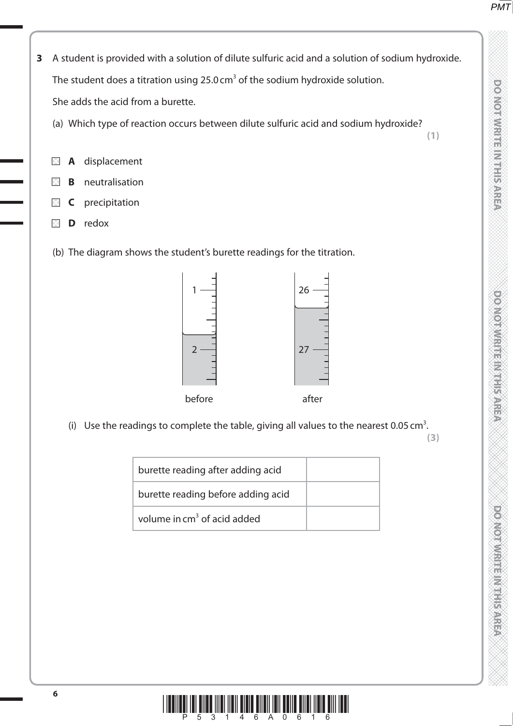- **3** A student is provided with a solution of dilute sulfuric acid and a solution of sodium hydroxide. The student does a titration using  $25.0 \text{ cm}^3$  of the sodium hydroxide solution. She adds the acid from a burette.
	- (a) Which type of reaction occurs between dilute sulfuric acid and sodium hydroxide?
	- **A** displacement
	- **B** neutralisation
	- **C** precipitation
	- **D** redox
	- (b) The diagram shows the student's burette readings for the titration.



(i) Use the readings to complete the table, giving all values to the nearest 0.05 cm<sup>3</sup>.

**(3)**

**(1)**

| burette reading after adding acid       |  |
|-----------------------------------------|--|
| burette reading before adding acid      |  |
| volume in cm <sup>3</sup> of acid added |  |
|                                         |  |

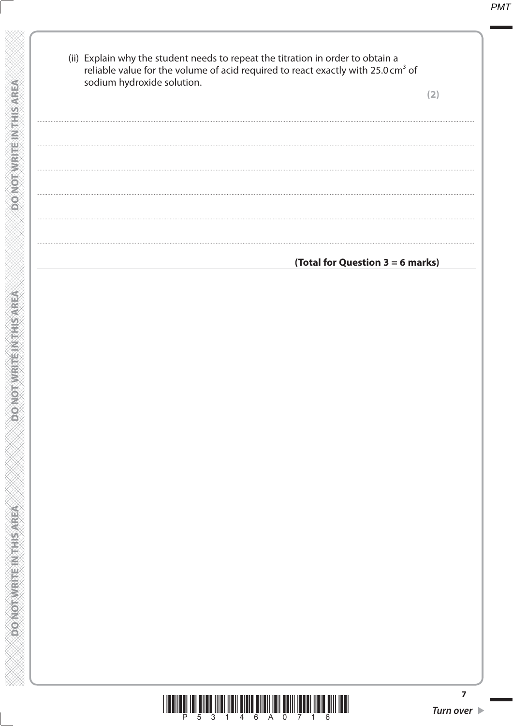| (ii) Explain why the student needs to repeat the titration in order to obtain a<br>reliable value for the volume of acid required to react exactly with 25.0 cm <sup>3</sup> of<br>sodium hydroxide solution. | (2) |
|---------------------------------------------------------------------------------------------------------------------------------------------------------------------------------------------------------------|-----|
|                                                                                                                                                                                                               |     |
|                                                                                                                                                                                                               |     |
| (Total for Question 3 = 6 marks)                                                                                                                                                                              |     |
|                                                                                                                                                                                                               |     |
|                                                                                                                                                                                                               |     |
|                                                                                                                                                                                                               |     |
|                                                                                                                                                                                                               |     |
|                                                                                                                                                                                                               |     |
|                                                                                                                                                                                                               |     |

**DONOT WRITE IN THIS AREA** 

DO NOT WRITE IN THIS AREA

**DO NOT WEITE IN THIS AREA** 



 $\overline{z}$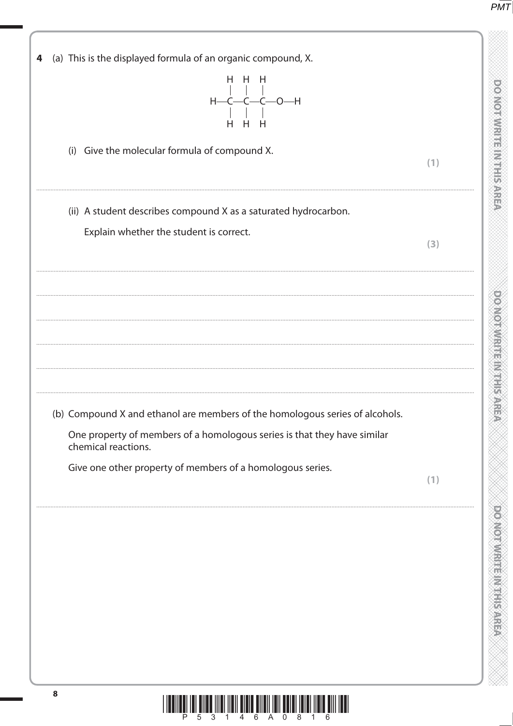**DONOTWRITE IN THIS AREA** 

**DOMORATION IS NOT THE STATE** 

**DO NOTIVIES IN THE REAL** 

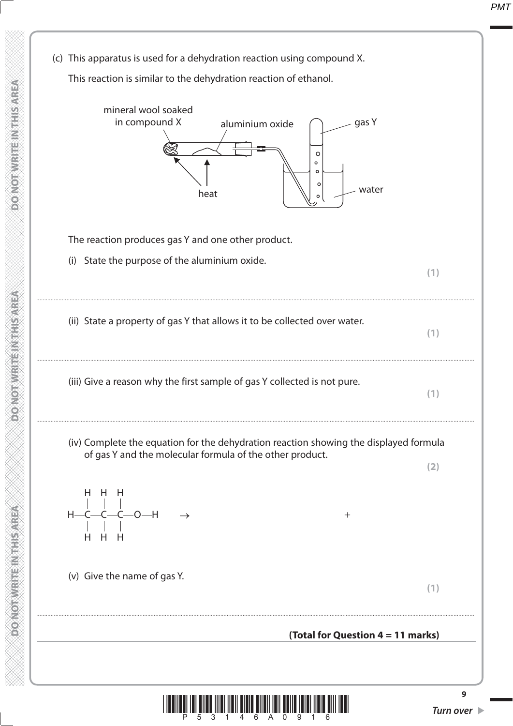(c) This apparatus is used for a dehydration reaction using compound X. This reaction is similar to the dehydration reaction of ethanol. mineral wool soaked in compound X aluminium oxide gas Y  $\circ$  $\circ$  $\circ$ heat  $\begin{array}{|c|c|c|c|}\hline \text{``} & \multicolumn{1}{|c|}{\text{``}} & \multicolumn{1}{|c|}{\text{``}} & \multicolumn{1}{|c|}{\text{``}} & \multicolumn{1}{|c|}{\text{``}} & \multicolumn{1}{|c|}{\text{``}} & \multicolumn{1}{|c|}{\text{``}} & \multicolumn{1}{|c|}{\text{``}} & \multicolumn{1}{|c|}{\text{``}} & \multicolumn{1}{|c|}{\text{``}} & \multicolumn{1}{|c|}{\text{``}} & \multicolumn{1}{|c|}{\text{``}} & \multicolumn{$  The reaction produces gas Y and one other product. (i) State the purpose of the aluminium oxide. **(1)** .................................................................................................................................................................................................................................................................................... (ii) State a property of gas Y that allows it to be collected over water. **(1)** .................................................................................................................................................................................................................................................................................... (iii) Give a reason why the first sample of gas Y collected is not pure. **(1)** .................................................................................................................................................................................................................................................................................... (iv) Complete the equation for the dehydration reaction showing the displayed formula of gas Y and the molecular formula of the other product. **(2)** H H H  $H$ —C—C—C—O—H  $\rightarrow$ H H H (v) Give the name of gas Y. **(1)** .................................................................................................................................................................................................................................................................................... **(Total for Question 4 = 11 marks)**

**\* F**  $\int\limits_{0}^{1}\prod\limits_{0}^{1}\prod\limits_{0}^{1}\prod\limits_{0}^{1}\prod\limits_{1}^{1}\prod\limits_{0}^{1}\prod\limits_{0}^{1}\prod\limits_{0}^{1}\prod\limits_{0}^{1}\prod\limits_{0}^{1}\prod\limits_{0}^{1}\prod\limits_{0}^{1}\prod\limits_{0}^{1}\prod\limits_{0}^{1}\prod\limits_{0}^{1}\prod\limits_{0}^{1}\prod\limits_{0}^{1}\prod\limits_{0}^{1}\prod\limits_{0}^{1}\prod\limits_{0}^{1}\prod\limits_{0}^{1}\prod\limits_{0}^{1}\prod\limits_{0}^{1}\prod\limits_{0$ 

**PONOTWRITENTHISAREA** 

**9**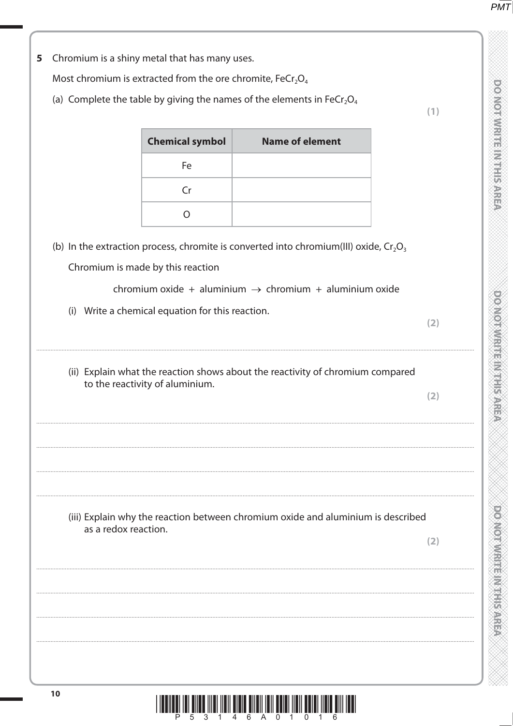| 5 |                                                                                                       | Chromium is a shiny metal that has many uses. |                                                                                          |     |  |  |  |  |  |
|---|-------------------------------------------------------------------------------------------------------|-----------------------------------------------|------------------------------------------------------------------------------------------|-----|--|--|--|--|--|
|   | Most chromium is extracted from the ore chromite, FeCr <sub>2</sub> O <sub>4</sub>                    |                                               |                                                                                          |     |  |  |  |  |  |
|   | (a) Complete the table by giving the names of the elements in FeCr <sub>2</sub> O <sub>4</sub><br>(1) |                                               |                                                                                          |     |  |  |  |  |  |
|   |                                                                                                       | <b>Chemical symbol</b>                        | <b>Name of element</b>                                                                   |     |  |  |  |  |  |
|   |                                                                                                       | Fe                                            |                                                                                          |     |  |  |  |  |  |
|   |                                                                                                       | Cr                                            |                                                                                          |     |  |  |  |  |  |
|   |                                                                                                       | $\circ$                                       |                                                                                          |     |  |  |  |  |  |
|   |                                                                                                       |                                               | (b) In the extraction process, chromite is converted into chromium(III) oxide, $Cr_2O_3$ |     |  |  |  |  |  |
|   |                                                                                                       | Chromium is made by this reaction             |                                                                                          |     |  |  |  |  |  |
|   |                                                                                                       |                                               | chromium oxide + aluminium $\rightarrow$ chromium + aluminium oxide                      |     |  |  |  |  |  |
|   | (i)                                                                                                   | Write a chemical equation for this reaction.  |                                                                                          | (2) |  |  |  |  |  |
|   |                                                                                                       | to the reactivity of aluminium.               | (ii) Explain what the reaction shows about the reactivity of chromium compared           | (2) |  |  |  |  |  |
|   |                                                                                                       |                                               |                                                                                          |     |  |  |  |  |  |
|   | as a redox reaction.                                                                                  |                                               | (iii) Explain why the reaction between chromium oxide and aluminium is described         | (2) |  |  |  |  |  |
|   |                                                                                                       |                                               |                                                                                          |     |  |  |  |  |  |
|   |                                                                                                       |                                               |                                                                                          |     |  |  |  |  |  |
|   |                                                                                                       |                                               |                                                                                          |     |  |  |  |  |  |
|   |                                                                                                       |                                               |                                                                                          |     |  |  |  |  |  |
|   |                                                                                                       |                                               |                                                                                          |     |  |  |  |  |  |

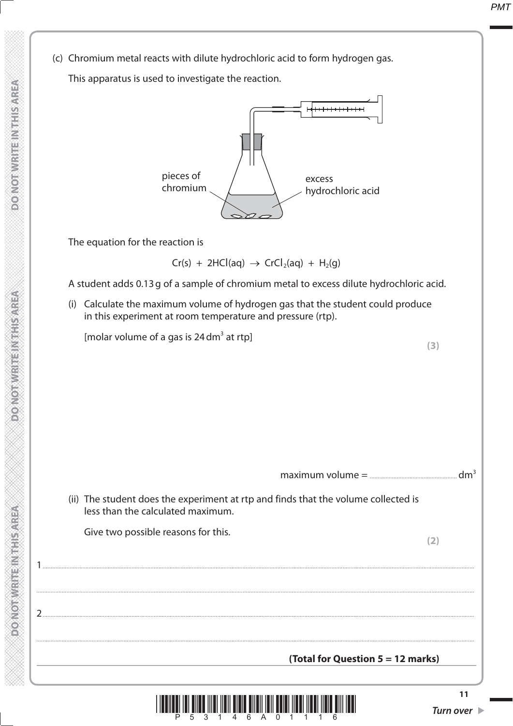(c) Chromium metal reacts with dilute hydrochloric acid to form hydrogen gas.

This apparatus is used to investigate the reaction.



The equation for the reaction is

 $Cr(s) + 2HCl(aq) \rightarrow CrCl<sub>2</sub>(aq) + H<sub>2</sub>(q)$ 

A student adds 0.13 g of a sample of chromium metal to excess dilute hydrochloric acid.

 (i) Calculate the maximum volume of hydrogen gas that the student could produce in this experiment at room temperature and pressure (rtp).

[molar volume of a gas is  $24$  dm<sup>3</sup> at rtp] at rtp] **(3)**

**11** k<mark>t</mark>i III **i**lli <sup>3</sup>1111 <sup>1</sup>1111 illi <sup>6</sup>1111 <sup>6</sup>1111 în li înri îmri <sup>5</sup>111 <sup>e</sup>n maximum volume = ....................................................... dm3 (ii) The student does the experiment at rtp and finds that the volume collected is less than the calculated maximum. Give two possible reasons for this. **(2)** (2)  $1 \quad \text{or} \quad$ .................................................................................................................................................................................................................................................................................... 2 ................................................................................................................................................................................................................................................................................ .................................................................................................................................................................................................................................................................................... **(Total for Question 5 = 12 marks)**

**TERMS BRITISHED**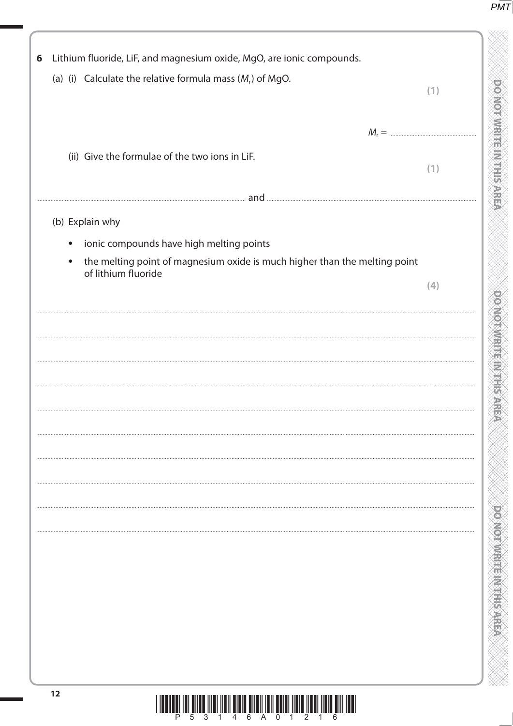| Lithium fluoride, LiF, and magnesium oxide, MgO, are ionic compounds.                   |     |
|-----------------------------------------------------------------------------------------|-----|
| (a) (i) Calculate the relative formula mass $(M_r)$ of MgO.                             | (1) |
|                                                                                         |     |
|                                                                                         |     |
| (ii) Give the formulae of the two ions in LiF.                                          |     |
|                                                                                         | (1) |
| and                                                                                     |     |
| (b) Explain why                                                                         |     |
| ionic compounds have high melting points<br>$\bullet$                                   |     |
| the melting point of magnesium oxide is much higher than the melting point<br>$\bullet$ |     |
| of lithium fluoride                                                                     | (4) |
|                                                                                         |     |
|                                                                                         |     |
|                                                                                         |     |
|                                                                                         |     |
|                                                                                         |     |
|                                                                                         |     |
|                                                                                         |     |
|                                                                                         |     |
|                                                                                         |     |
|                                                                                         |     |
|                                                                                         |     |
|                                                                                         |     |
|                                                                                         |     |
|                                                                                         |     |
|                                                                                         |     |
|                                                                                         |     |
|                                                                                         |     |
|                                                                                         |     |
|                                                                                         |     |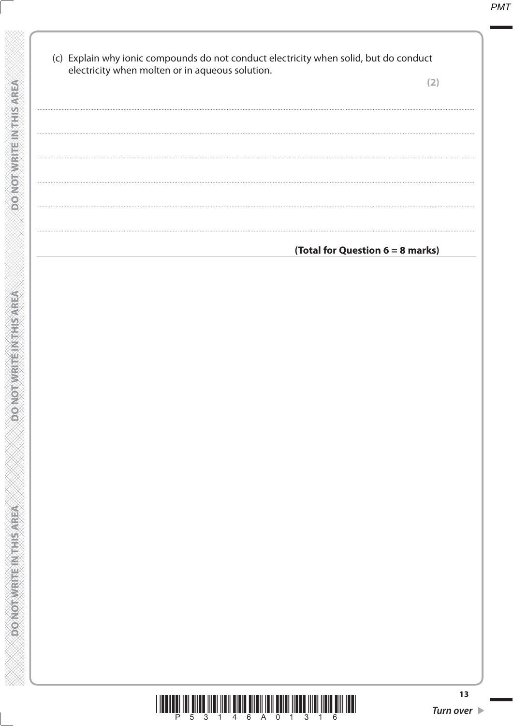| (c) Explain why ionic compounds do not conduct electricity when solid, but do conduct<br>electricity when molten or in aqueous solution. |                                  |
|------------------------------------------------------------------------------------------------------------------------------------------|----------------------------------|
|                                                                                                                                          | (2)                              |
|                                                                                                                                          |                                  |
|                                                                                                                                          |                                  |
|                                                                                                                                          |                                  |
|                                                                                                                                          |                                  |
|                                                                                                                                          |                                  |
|                                                                                                                                          |                                  |
|                                                                                                                                          | (Total for Question 6 = 8 marks) |
|                                                                                                                                          |                                  |
|                                                                                                                                          |                                  |
|                                                                                                                                          |                                  |
|                                                                                                                                          |                                  |
|                                                                                                                                          |                                  |
|                                                                                                                                          |                                  |
|                                                                                                                                          |                                  |
|                                                                                                                                          |                                  |
|                                                                                                                                          |                                  |
|                                                                                                                                          |                                  |
|                                                                                                                                          |                                  |
|                                                                                                                                          |                                  |
|                                                                                                                                          |                                  |
|                                                                                                                                          |                                  |
|                                                                                                                                          |                                  |
|                                                                                                                                          |                                  |
|                                                                                                                                          |                                  |
|                                                                                                                                          |                                  |
|                                                                                                                                          |                                  |
|                                                                                                                                          |                                  |
|                                                                                                                                          | 13                               |

**DONOT WRITEIN THIS AREA** 

**DONOT WRITEIN THIS AREA** 

**PONOTWRITEINING AREA**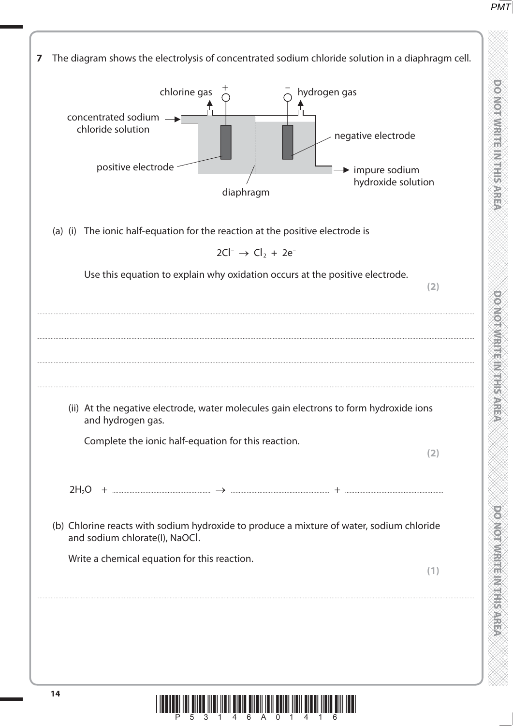

\*P53146A01416\*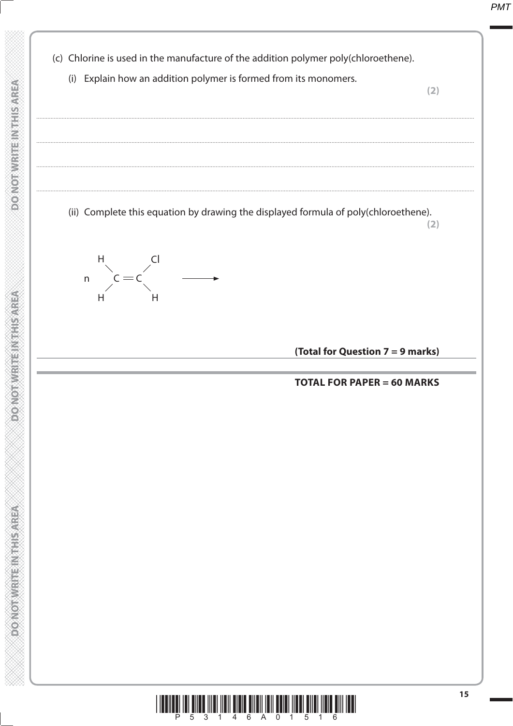(c) Chlorine is used in the manufacture of the addition polymer poly(chloroethene). (i) Explain how an addition polymer is formed from its monomers.  $(2)$ (ii) Complete this equation by drawing the displayed formula of poly(chloroethene).  $(2)$  $Cl$  $\overline{n}$ (Total for Question 7 = 9 marks) **TOTAL FOR PAPER = 60 MARKS**  $15$ <u>hii III ilmi ilmi ilmi ilmi elini vul elini ilmi elini ilmi elli IIII </u>

**DO NOT WRITE INTHIS AREA** 

**PONOTWERENTHISKEP** 

**Market Hammer and Row of World**